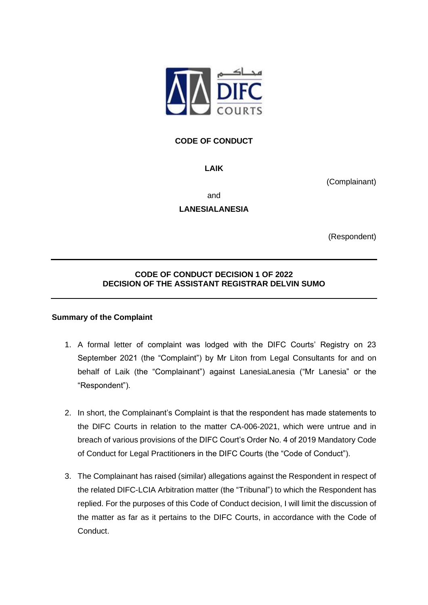

# **CODE OF CONDUCT**

**LAIK**

(Complainant)

and

**LANESIALANESIA**

(Respondent)

# **CODE OF CONDUCT DECISION 1 OF 2022 DECISION OF THE ASSISTANT REGISTRAR DELVIN SUMO**

#### **Summary of the Complaint**

- 1. A formal letter of complaint was lodged with the DIFC Courts' Registry on 23 September 2021 (the "Complaint") by Mr Liton from Legal Consultants for and on behalf of Laik (the "Complainant") against LanesiaLanesia ("Mr Lanesia" or the "Respondent").
- 2. In short, the Complainant's Complaint is that the respondent has made statements to the DIFC Courts in relation to the matter CA-006-2021, which were untrue and in breach of various provisions of the DIFC Court's Order No. 4 of 2019 Mandatory Code of Conduct for Legal Practitioners in the DIFC Courts (the "Code of Conduct").
- 3. The Complainant has raised (similar) allegations against the Respondent in respect of the related DIFC-LCIA Arbitration matter (the "Tribunal") to which the Respondent has replied. For the purposes of this Code of Conduct decision, I will limit the discussion of the matter as far as it pertains to the DIFC Courts, in accordance with the Code of Conduct.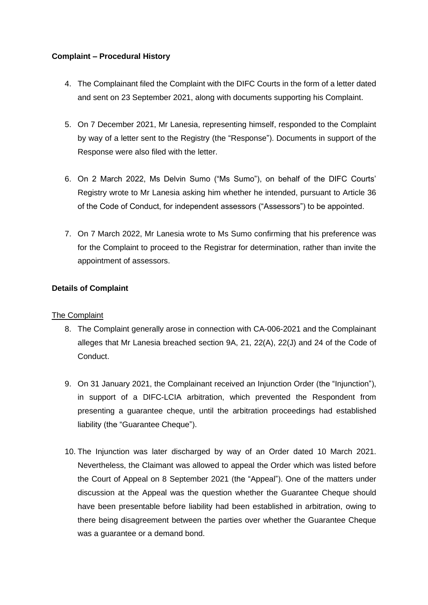#### **Complaint – Procedural History**

- 4. The Complainant filed the Complaint with the DIFC Courts in the form of a letter dated and sent on 23 September 2021, along with documents supporting his Complaint.
- 5. On 7 December 2021, Mr Lanesia, representing himself, responded to the Complaint by way of a letter sent to the Registry (the "Response"). Documents in support of the Response were also filed with the letter.
- 6. On 2 March 2022, Ms Delvin Sumo ("Ms Sumo"), on behalf of the DIFC Courts' Registry wrote to Mr Lanesia asking him whether he intended, pursuant to Article 36 of the Code of Conduct, for independent assessors ("Assessors") to be appointed.
- 7. On 7 March 2022, Mr Lanesia wrote to Ms Sumo confirming that his preference was for the Complaint to proceed to the Registrar for determination, rather than invite the appointment of assessors.

## **Details of Complaint**

#### **The Complaint**

- 8. The Complaint generally arose in connection with CA-006-2021 and the Complainant alleges that Mr Lanesia breached section 9A, 21, 22(A), 22(J) and 24 of the Code of Conduct.
- 9. On 31 January 2021, the Complainant received an Injunction Order (the "Injunction"), in support of a DIFC-LCIA arbitration, which prevented the Respondent from presenting a guarantee cheque, until the arbitration proceedings had established liability (the "Guarantee Cheque").
- 10. The Injunction was later discharged by way of an Order dated 10 March 2021. Nevertheless, the Claimant was allowed to appeal the Order which was listed before the Court of Appeal on 8 September 2021 (the "Appeal"). One of the matters under discussion at the Appeal was the question whether the Guarantee Cheque should have been presentable before liability had been established in arbitration, owing to there being disagreement between the parties over whether the Guarantee Cheque was a guarantee or a demand bond.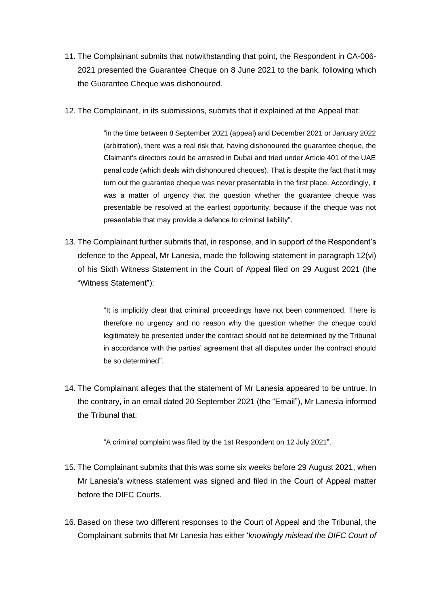- 11. The Complainant submits that notwithstanding that point, the Respondent in CA-006- 2021 presented the Guarantee Cheque on 8 June 2021 to the bank, following which the Guarantee Cheque was dishonoured.
- 12. The Complainant, in its submissions, submits that it explained at the Appeal that:

"in the time between 8 September 2021 (appeal) and December 2021 or January 2022 (arbitration), there was a real risk that, having dishonoured the guarantee cheque, the Claimant's directors could be arrested in Dubai and tried under Article 401 of the UAE penal code (which deals with dishonoured cheques). That is despite the fact that it may turn out the guarantee cheque was never presentable in the first place. Accordingly, it was a matter of urgency that the question whether the guarantee cheque was presentable be resolved at the earliest opportunity, because if the cheque was not presentable that may provide a defence to criminal liability".

13. The Complainant further submits that, in response, and in support of the Respondent's defence to the Appeal, Mr Lanesia, made the following statement in paragraph 12(vi) of his Sixth Witness Statement in the Court of Appeal filed on 29 August 2021 (the "Witness Statement"):

> "It is implicitly clear that criminal proceedings have not been commenced. There is therefore no urgency and no reason why the question whether the cheque could legitimately be presented under the contract should not be determined by the Tribunal in accordance with the parties' agreement that all disputes under the contract should be so determined".

14. The Complainant alleges that the statement of Mr Lanesia appeared to be untrue. In the contrary, in an email dated 20 September 2021 (the "Email"), Mr Lanesia informed the Tribunal that:

"A criminal complaint was filed by the 1st Respondent on 12 July 2021".

- 15. The Complainant submits that this was some six weeks before 29 August 2021, when Mr Lanesia's witness statement was signed and filed in the Court of Appeal matter before the DIFC Courts.
- 16. Based on these two different responses to the Court of Appeal and the Tribunal, the Complainant submits that Mr Lanesia has either '*knowingly mislead the DIFC Court of*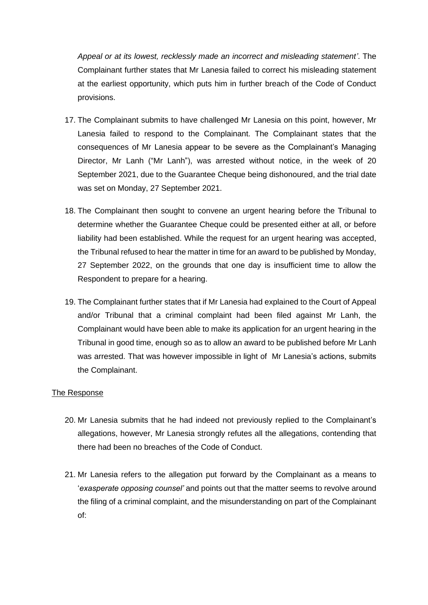*Appeal or at its lowest, recklessly made an incorrect and misleading statement'*. The Complainant further states that Mr Lanesia failed to correct his misleading statement at the earliest opportunity, which puts him in further breach of the Code of Conduct provisions.

- 17. The Complainant submits to have challenged Mr Lanesia on this point, however, Mr Lanesia failed to respond to the Complainant. The Complainant states that the consequences of Mr Lanesia appear to be severe as the Complainant's Managing Director, Mr Lanh ("Mr Lanh"), was arrested without notice, in the week of 20 September 2021, due to the Guarantee Cheque being dishonoured, and the trial date was set on Monday, 27 September 2021.
- 18. The Complainant then sought to convene an urgent hearing before the Tribunal to determine whether the Guarantee Cheque could be presented either at all, or before liability had been established. While the request for an urgent hearing was accepted, the Tribunal refused to hear the matter in time for an award to be published by Monday, 27 September 2022, on the grounds that one day is insufficient time to allow the Respondent to prepare for a hearing.
- 19. The Complainant further states that if Mr Lanesia had explained to the Court of Appeal and/or Tribunal that a criminal complaint had been filed against Mr Lanh, the Complainant would have been able to make its application for an urgent hearing in the Tribunal in good time, enough so as to allow an award to be published before Mr Lanh was arrested. That was however impossible in light of Mr Lanesia's actions, submits the Complainant.

#### The Response

- 20. Mr Lanesia submits that he had indeed not previously replied to the Complainant's allegations, however, Mr Lanesia strongly refutes all the allegations, contending that there had been no breaches of the Code of Conduct.
- 21. Mr Lanesia refers to the allegation put forward by the Complainant as a means to '*exasperate opposing counsel'* and points out that the matter seems to revolve around the filing of a criminal complaint, and the misunderstanding on part of the Complainant of: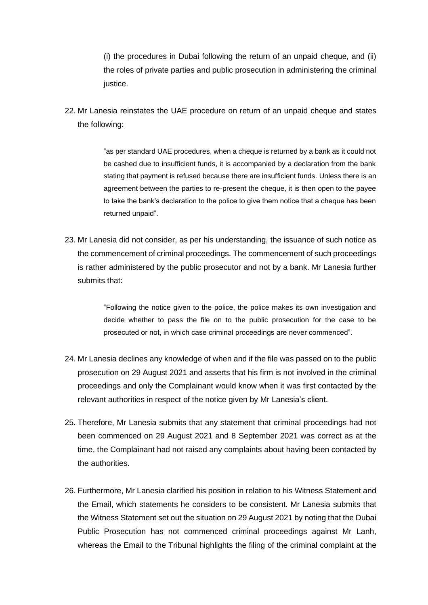(i) the procedures in Dubai following the return of an unpaid cheque, and (ii) the roles of private parties and public prosecution in administering the criminal justice.

22. Mr Lanesia reinstates the UAE procedure on return of an unpaid cheque and states the following:

> "as per standard UAE procedures, when a cheque is returned by a bank as it could not be cashed due to insufficient funds, it is accompanied by a declaration from the bank stating that payment is refused because there are insufficient funds. Unless there is an agreement between the parties to re-present the cheque, it is then open to the payee to take the bank's declaration to the police to give them notice that a cheque has been returned unpaid".

23. Mr Lanesia did not consider, as per his understanding, the issuance of such notice as the commencement of criminal proceedings. The commencement of such proceedings is rather administered by the public prosecutor and not by a bank. Mr Lanesia further submits that:

> "Following the notice given to the police, the police makes its own investigation and decide whether to pass the file on to the public prosecution for the case to be prosecuted or not, in which case criminal proceedings are never commenced".

- 24. Mr Lanesia declines any knowledge of when and if the file was passed on to the public prosecution on 29 August 2021 and asserts that his firm is not involved in the criminal proceedings and only the Complainant would know when it was first contacted by the relevant authorities in respect of the notice given by Mr Lanesia's client.
- 25. Therefore, Mr Lanesia submits that any statement that criminal proceedings had not been commenced on 29 August 2021 and 8 September 2021 was correct as at the time, the Complainant had not raised any complaints about having been contacted by the authorities.
- 26. Furthermore, Mr Lanesia clarified his position in relation to his Witness Statement and the Email, which statements he considers to be consistent. Mr Lanesia submits that the Witness Statement set out the situation on 29 August 2021 by noting that the Dubai Public Prosecution has not commenced criminal proceedings against Mr Lanh, whereas the Email to the Tribunal highlights the filing of the criminal complaint at the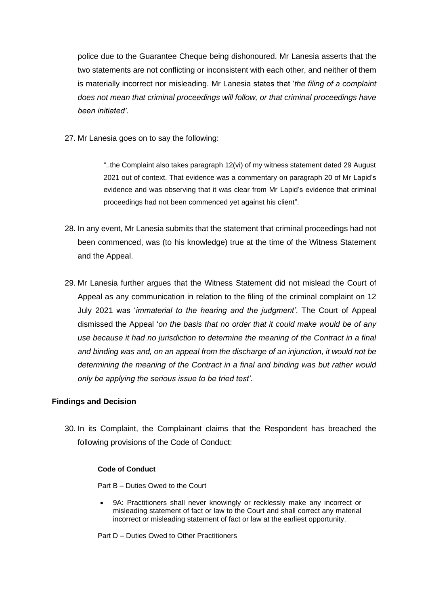police due to the Guarantee Cheque being dishonoured. Mr Lanesia asserts that the two statements are not conflicting or inconsistent with each other, and neither of them is materially incorrect nor misleading. Mr Lanesia states that '*the filing of a complaint does not mean that criminal proceedings will follow, or that criminal proceedings have been initiated'*.

27. Mr Lanesia goes on to say the following:

"..the Complaint also takes paragraph 12(vi) of my witness statement dated 29 August 2021 out of context. That evidence was a commentary on paragraph 20 of Mr Lapid's evidence and was observing that it was clear from Mr Lapid's evidence that criminal proceedings had not been commenced yet against his client".

- 28. In any event, Mr Lanesia submits that the statement that criminal proceedings had not been commenced, was (to his knowledge) true at the time of the Witness Statement and the Appeal.
- 29. Mr Lanesia further argues that the Witness Statement did not mislead the Court of Appeal as any communication in relation to the filing of the criminal complaint on 12 July 2021 was '*immaterial to the hearing and the judgment'*. The Court of Appeal dismissed the Appeal '*on the basis that no order that it could make would be of any use because it had no jurisdiction to determine the meaning of the Contract in a final and binding was and, on an appeal from the discharge of an injunction, it would not be determining the meaning of the Contract in a final and binding was but rather would only be applying the serious issue to be tried test'*.

#### **Findings and Decision**

30. In its Complaint, the Complainant claims that the Respondent has breached the following provisions of the Code of Conduct:

#### **Code of Conduct**

Part B – Duties Owed to the Court

9A: Practitioners shall never knowingly or recklessly make any incorrect or misleading statement of fact or law to the Court and shall correct any material incorrect or misleading statement of fact or law at the earliest opportunity.

Part D – Duties Owed to Other Practitioners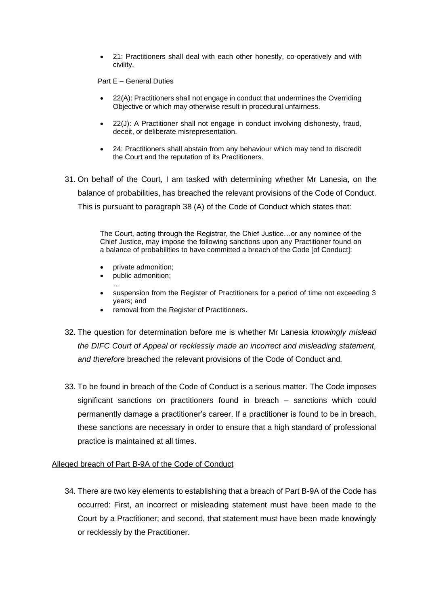• 21: Practitioners shall deal with each other honestly, co-operatively and with civility.

Part E – General Duties

- 22(A): Practitioners shall not engage in conduct that undermines the Overriding Objective or which may otherwise result in procedural unfairness.
- 22(J): A Practitioner shall not engage in conduct involving dishonesty, fraud, deceit, or deliberate misrepresentation.
- 24: Practitioners shall abstain from any behaviour which may tend to discredit the Court and the reputation of its Practitioners.
- 31. On behalf of the Court, I am tasked with determining whether Mr Lanesia, on the balance of probabilities, has breached the relevant provisions of the Code of Conduct. This is pursuant to paragraph 38 (A) of the Code of Conduct which states that:

The Court, acting through the Registrar, the Chief Justice…or any nominee of the Chief Justice, may impose the following sanctions upon any Practitioner found on a balance of probabilities to have committed a breach of the Code [of Conduct]:

- private admonition;
- public admonition;
- … • suspension from the Register of Practitioners for a period of time not exceeding 3
- years; and • removal from the Register of Practitioners.
- 32. The question for determination before me is whether Mr Lanesia *knowingly mislead the DIFC Court of Appeal or recklessly made an incorrect and misleading statement, and therefore* breached the relevant provisions of the Code of Conduct and*.*
- 33. To be found in breach of the Code of Conduct is a serious matter. The Code imposes significant sanctions on practitioners found in breach – sanctions which could permanently damage a practitioner's career. If a practitioner is found to be in breach, these sanctions are necessary in order to ensure that a high standard of professional practice is maintained at all times.

#### Alleged breach of Part B-9A of the Code of Conduct

34. There are two key elements to establishing that a breach of Part B-9A of the Code has occurred: First, an incorrect or misleading statement must have been made to the Court by a Practitioner; and second, that statement must have been made knowingly or recklessly by the Practitioner.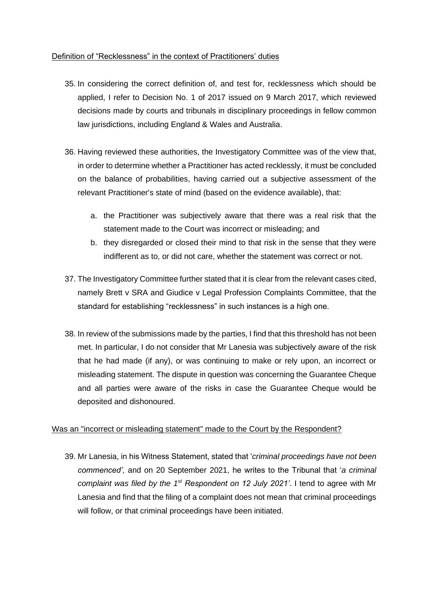### Definition of "Recklessness" in the context of Practitioners' duties

- 35. In considering the correct definition of, and test for, recklessness which should be applied, I refer to Decision No. 1 of 2017 issued on 9 March 2017, which reviewed decisions made by courts and tribunals in disciplinary proceedings in fellow common law jurisdictions, including England & Wales and Australia.
- 36. Having reviewed these authorities, the Investigatory Committee was of the view that, in order to determine whether a Practitioner has acted recklessly, it must be concluded on the balance of probabilities, having carried out a subjective assessment of the relevant Practitioner's state of mind (based on the evidence available), that:
	- a. the Practitioner was subjectively aware that there was a real risk that the statement made to the Court was incorrect or misleading; and
	- b. they disregarded or closed their mind to that risk in the sense that they were indifferent as to, or did not care, whether the statement was correct or not.
- 37. The Investigatory Committee further stated that it is clear from the relevant cases cited, namely Brett v SRA and Giudice v Legal Profession Complaints Committee, that the standard for establishing "recklessness" in such instances is a high one.
- 38. In review of the submissions made by the parties, I find that this threshold has not been met. In particular, I do not consider that Mr Lanesia was subjectively aware of the risk that he had made (if any), or was continuing to make or rely upon, an incorrect or misleading statement. The dispute in question was concerning the Guarantee Cheque and all parties were aware of the risks in case the Guarantee Cheque would be deposited and dishonoured.

## Was an "incorrect or misleading statement" made to the Court by the Respondent?

39. Mr Lanesia, in his Witness Statement, stated that '*criminal proceedings have not been commenced',* and on 20 September 2021, he writes to the Tribunal that '*a criminal complaint was filed by the 1st Respondent on 12 July 2021'*. I tend to agree with Mr Lanesia and find that the filing of a complaint does not mean that criminal proceedings will follow, or that criminal proceedings have been initiated.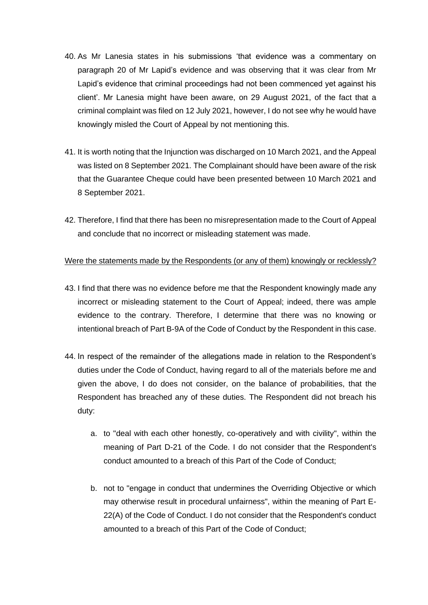- 40. As Mr Lanesia states in his submissions 'that evidence was a commentary on paragraph 20 of Mr Lapid's evidence and was observing that it was clear from Mr Lapid's evidence that criminal proceedings had not been commenced yet against his client'. Mr Lanesia might have been aware, on 29 August 2021, of the fact that a criminal complaint was filed on 12 July 2021, however, I do not see why he would have knowingly misled the Court of Appeal by not mentioning this.
- 41. It is worth noting that the Injunction was discharged on 10 March 2021, and the Appeal was listed on 8 September 2021. The Complainant should have been aware of the risk that the Guarantee Cheque could have been presented between 10 March 2021 and 8 September 2021.
- 42. Therefore, I find that there has been no misrepresentation made to the Court of Appeal and conclude that no incorrect or misleading statement was made.

#### Were the statements made by the Respondents (or any of them) knowingly or recklessly?

- 43. I find that there was no evidence before me that the Respondent knowingly made any incorrect or misleading statement to the Court of Appeal; indeed, there was ample evidence to the contrary. Therefore, I determine that there was no knowing or intentional breach of Part B-9A of the Code of Conduct by the Respondent in this case.
- 44. In respect of the remainder of the allegations made in relation to the Respondent's duties under the Code of Conduct, having regard to all of the materials before me and given the above, I do does not consider, on the balance of probabilities, that the Respondent has breached any of these duties. The Respondent did not breach his duty:
	- a. to "deal with each other honestly, co-operatively and with civility", within the meaning of Part D-21 of the Code. I do not consider that the Respondent's conduct amounted to a breach of this Part of the Code of Conduct;
	- b. not to "engage in conduct that undermines the Overriding Objective or which may otherwise result in procedural unfairness", within the meaning of Part E-22(A) of the Code of Conduct. I do not consider that the Respondent's conduct amounted to a breach of this Part of the Code of Conduct;